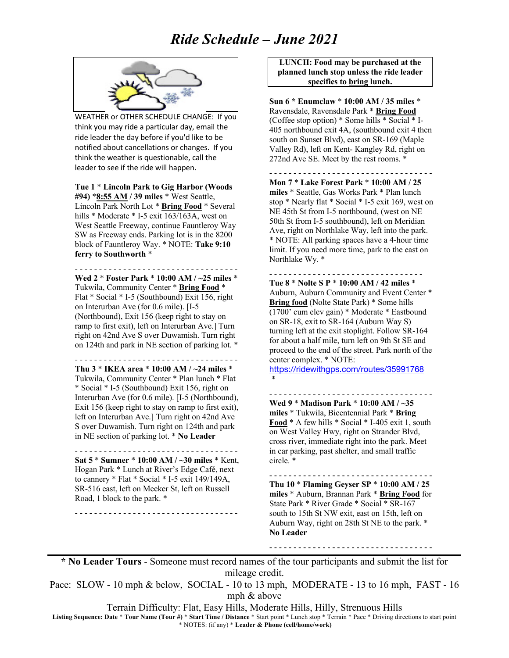

WEATHER or OTHER SCHEDULE CHANGE: If you think you may ride a particular day, email the ride leader the day before if you'd like to be notified about cancellations or changes. If you think the weather is questionable, call the leader to see if the ride will happen.

**Tue 1** \* **Lincoln Park to Gig Harbor (Woods #94)** \***8:55 AM / 39 miles** \* West Seattle, Lincoln Park North Lot \* **Bring Food** \* Several hills \* Moderate \* I-5 exit 163/163A, west on West Seattle Freeway, continue Fauntleroy Way SW as Freeway ends. Parking lot is in the 8200 block of Fauntleroy Way. \* NOTE: **Take 9:10 ferry to Southworth** \*

- - - - - - - - - - - - - - - - - - - - - - - - - - - - - - - - - - **Wed 2** \* **Foster Park** \* **10:00 AM / ~25 miles** \* Tukwila, Community Center \* **Bring Food** \* Flat \* Social \* I-5 (Southbound) Exit 156, right on Interurban Ave (for 0.6 mile). [I-5 (Northbound), Exit 156 (keep right to stay on ramp to first exit), left on Interurban Ave.] Turn right on 42nd Ave S over Duwamish. Turn right on 124th and park in NE section of parking lot. \*

- - - - - - - - - - - - - - - - - - - - - - - - - - - - - - - - - -

**Thu 3** \* **IKEA area** \* **10:00 AM / ~24 miles** \* Tukwila, Community Center \* Plan lunch \* Flat \* Social \* I-5 (Southbound) Exit 156, right on Interurban Ave (for 0.6 mile). [I-5 (Northbound), Exit 156 (keep right to stay on ramp to first exit), left on Interurban Ave.] Turn right on 42nd Ave S over Duwamish. Turn right on 124th and park in NE section of parking lot. \* **No Leader**

**Sat 5** \* **Sumner** \* **10:00 AM / ~30 miles** \* Kent, Hogan Park \* Lunch at River's Edge Café, next to cannery \* Flat \* Social \* I-5 exit 149/149A, SR-516 east, left on Meeker St, left on Russell Road, 1 block to the park. \*

- - - - - - - - - - - - - - - - - - - - - - - - - - - - - - - - - -

- - - - - - - - - - - - - - - - - - - - - - - - - - - - - - - - - -

**LUNCH: Food may be purchased at the planned lunch stop unless the ride leader specifies to bring lunch.**

**Sun 6 \* Enumclaw** \* **10:00 AM / 35 miles** \* Ravensdale, Ravensdale Park \* **Bring Food** (Coffee stop option) \* Some hills \* Social \* I-405 northbound exit 4A, (southbound exit 4 then south on Sunset Blvd), east on SR-169 (Maple Valley Rd), left on Kent- Kangley Rd, right on 272nd Ave SE. Meet by the rest rooms. \*

- - - - - - - - - - - - - - - - - - - - - - - - - - - - - - - - - - **Mon 7** \* **Lake Forest Park** \* **10:00 AM / 25 miles** \* Seattle, Gas Works Park \* Plan lunch stop \* Nearly flat \* Social \* I-5 exit 169, west on NE 45th St from I-5 northbound, (west on NE 50th St from I-5 southbound), left on Meridian Ave, right on Northlake Way, left into the park. \* NOTE: All parking spaces have a 4-hour time limit. If you need more time, park to the east on Northlake Wy. \*

- - - - - - - - - - - - - - - - - - - - - - - - - - - - - - - - **Tue 8** \* **Nolte S P** \* **10:00 AM / 42 miles** \* Auburn, Auburn Community and Event Center \* **Bring food** (Nolte State Park) \* Some hills (1700' cum elev gain) \* Moderate \* Eastbound on SR-18, exit to SR-164 (Auburn Way S) turning left at the exit stoplight. Follow SR-164 for about a half mile, turn left on 9th St SE and proceed to the end of the street. Park north of the center complex. \* NOTE:

https://ridewithgps.com/routes/35991768 \*

**Wed 9** \* **Madison Park** \* **10:00 AM / ~35 miles** \* Tukwila, Bicentennial Park \* **Bring Food** \* A few hills \* Social \* I-405 exit 1, south on West Valley Hwy, right on Strander Blvd, cross river, immediate right into the park. Meet in car parking, past shelter, and small traffic circle. \*

- - - - - - - - - - - - - - - - - - - - - - - - - - - - - - - - - -

- - - - - - - - - - - - - - - - - - - - - - - - - - - - - - - - - - **Thu 10** \* **Flaming Geyser SP** \* **10:00 AM / 25 miles** \* Auburn, Brannan Park \* **Bring Food** for State Park \* River Grade \* Social \* SR-167 south to 15th St NW exit, east on 15th, left on Auburn Way, right on 28th St NE to the park. \* **No Leader**

- - - - - - - - - - - - - - - - - - - - - - - - - - - - - - - - - -

**\* No Leader Tours** - Someone must record names of the tour participants and submit the list for mileage credit.

Pace: SLOW - 10 mph & below, SOCIAL - 10 to 13 mph, MODERATE - 13 to 16 mph, FAST - 16 mph & above

Terrain Difficulty: Flat, Easy Hills, Moderate Hills, Hilly, Strenuous Hills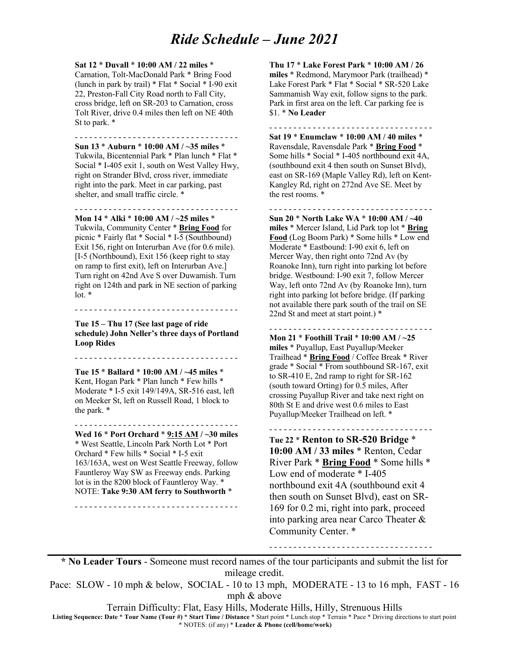**Sat 12** \* **Duvall** \* **10:00 AM / 22 miles** \*

Carnation, Tolt-MacDonald Park \* Bring Food (lunch in park by trail) \* Flat \* Social \* I-90 exit 22, Preston-Fall City Road north to Fall City, cross bridge, left on SR-203 to Carnation, cross Tolt River, drive 0.4 miles then left on NE 40th St to park. \*

- - - - - - - - - - - - - - - - - - - - - - - - - - - - - - - - - - **Sun 13** \* **Auburn** \* **10:00 AM / ~35 miles** \* Tukwila, Bicentennial Park \* Plan lunch \* Flat \* Social \* I-405 exit 1, south on West Valley Hwy, right on Strander Blvd, cross river, immediate right into the park. Meet in car parking, past shelter, and small traffic circle. \*

- - - - - - - - - - - - - - - - - - - - - - - - - - - - - - - - - -

**Mon 14** \* **Alki** \* **10:00 AM / ~25 miles** \* Tukwila, Community Center \* **Bring Food** for picnic \* Fairly flat \* Social \* I-5 (Southbound) Exit 156, right on Interurban Ave (for 0.6 mile). [I-5 (Northbound), Exit 156 (keep right to stay on ramp to first exit), left on Interurban Ave.] Turn right on 42nd Ave S over Duwamish. Turn right on 124th and park in NE section of parking  $\ln^*$ 

**Tue 15 – Thu 17 (See last page of ride schedule) John Neller's three days of Portland Loop Rides**

- - - - - - - - - - - - - - - - - - - - - - - - - - - - - - - - - -

- - - - - - - - - - - - - - - - - - - - - - - - - - - - - - - - - -

**Tue 15** \* **Ballard** \* **10:00 AM / ~45 miles** \* Kent, Hogan Park \* Plan lunch \* Few hills \* Moderate \* I-5 exit 149/149A, SR-516 east, left on Meeker St, left on Russell Road, 1 block to the park. \*

- - - - - - - - - - - - - - - - - - - - - - - - - - - - - - - - - - **Wed 16** \* **Port Orchard** \* **9:15 AM / ~30 miles** \* West Seattle, Lincoln Park North Lot \* Port Orchard \* Few hills \* Social \* I-5 exit 163/163A, west on West Seattle Freeway, follow Fauntleroy Way SW as Freeway ends. Parking lot is in the 8200 block of Fauntleroy Way. \* NOTE: **Take 9:30 AM ferry to Southworth** \*

- - - - - - - - - - - - - - - - - - - - - - - - - - - - - - - - - -

**Thu 17** \* **Lake Forest Park** \* **10:00 AM / 26 miles** \* Redmond, Marymoor Park (trailhead) \* Lake Forest Park \* Flat \* Social \* SR-520 Lake Sammamish Way exit, follow signs to the park. Park in first area on the left. Car parking fee is \$1. \* **No Leader**

- - - - - - - - - - - - - - - - - - - - - - - - - - - - - - - - - - **Sat 19** \* **Enumclaw** \* **10:00 AM / 40 miles** \* Ravensdale, Ravensdale Park \* **Bring Food** \* Some hills \* Social \* I-405 northbound exit 4A, (southbound exit 4 then south on Sunset Blvd), east on SR-169 (Maple Valley Rd), left on Kent-Kangley Rd, right on 272nd Ave SE. Meet by the rest rooms. \*

- - - - - - - - - - - - - - - - - - - - - - - - - - - - - - - - - -

**Sun 20** \* **North Lake WA** \* **10:00 AM / ~40 miles** \* Mercer Island, Lid Park top lot \* **Bring Food** (Log Boom Park) \* Some hills \* Low end Moderate \* Eastbound: I-90 exit 6, left on Mercer Way, then right onto 72nd Av (by Roanoke Inn), turn right into parking lot before bridge. Westbound: I-90 exit 7, follow Mercer Way, left onto 72nd Av (by Roanoke Inn), turn right into parking lot before bridge. (If parking not available there park south of the trail on SE 22nd St and meet at start point.) \*

- - - - - - - - - - - - - - - - - - - - - - - - - - - - - - - - - - **Mon 21** \* **Foothill Trail** \* **10:00 AM / ~25 miles** \* Puyallup, East Puyallup/Meeker Trailhead \* **Bring Food** / Coffee Break \* River grade \* Social \* From southbound SR-167, exit to SR-410 E, 2nd ramp to right for SR-162 (south toward Orting) for 0.5 miles, After crossing Puyallup River and take next right on 80th St E and drive west 0.6 miles to East Puyallup/Meeker Trailhead on left. \*

- - - - - - - - - - - - - - - - - - - - - - - - - - - - - - - - - - **Tue 22** \* **Renton to SR-520 Bridge** \* **10:00 AM / 33 miles** \* Renton, Cedar River Park \* **Bring Food** \* Some hills \* Low end of moderate \* I-405 northbound exit 4A (southbound exit 4 then south on Sunset Blvd), east on SR-169 for 0.2 mi, right into park, proceed into parking area near Carco Theater & Community Center. \*

- - - - - - - - - - - - - - - - - - - - - - - - - - - - - - - - - -

**\* No Leader Tours** - Someone must record names of the tour participants and submit the list for mileage credit.

Pace: SLOW - 10 mph & below, SOCIAL - 10 to 13 mph, MODERATE - 13 to 16 mph, FAST - 16 mph & above

Terrain Difficulty: Flat, Easy Hills, Moderate Hills, Hilly, Strenuous Hills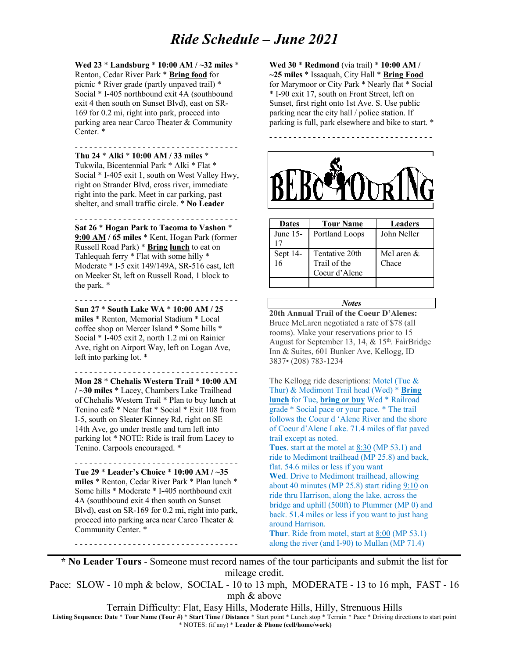**Wed 23** \* **Landsburg** \* **10:00 AM / ~32 miles** \* Renton, Cedar River Park \* **Bring food** for picnic \* River grade (partly unpaved trail) \* Social \* I-405 northbound exit 4A (southbound exit 4 then south on Sunset Blvd), east on SR-169 for 0.2 mi, right into park, proceed into parking area near Carco Theater & Community Center. \*

- - - - - - - - - - - - - - - - - - - - - - - - - - - - - - - - - - **Thu 24** \* **Alki** \* **10:00 AM / 33 miles** \* Tukwila, Bicentennial Park \* Alki \* Flat \* Social \* I-405 exit 1, south on West Valley Hwy, right on Strander Blvd, cross river, immediate right into the park. Meet in car parking, past shelter, and small traffic circle. \* **No Leader**

- - - - - - - - - - - - - - - - - - - - - - - - - - - - - - - - - - **Sat 26** \* **Hogan Park to Tacoma to Vashon** \* **9:00 AM / 65 miles** \* Kent, Hogan Park (former Russell Road Park) \* **Bring lunch** to eat on Tahlequah ferry \* Flat with some hilly \* Moderate \* I-5 exit 149/149A, SR-516 east, left on Meeker St, left on Russell Road, 1 block to the park. \*

- - - - - - - - - - - - - - - - - - - - - - - - - - - - - - - - - -

**Sun 27** \* **South Lake WA** \* **10:00 AM / 25 miles** \* Renton, Memorial Stadium \* Local coffee shop on Mercer Island \* Some hills \* Social \* I-405 exit 2, north 1.2 mi on Rainier Ave, right on Airport Way, left on Logan Ave, left into parking lot. \*

- - - - - - - - - - - - - - - - - - - - - - - - - - - - - - - - - - **Mon 28** \* **Chehalis Western Trail** \* **10:00 AM / ~30 miles** \* Lacey, Chambers Lake Trailhead of Chehalis Western Trail \* Plan to buy lunch at Tenino café \* Near flat \* Social \* Exit 108 from I-5, south on Sleater Kinney Rd, right on SE 14th Ave, go under trestle and turn left into parking lot \* NOTE: Ride is trail from Lacey to Tenino. Carpools encouraged. \*

- - - - - - - - - - - - - - - - - - - - - - - - - - - - - - - - - - **Tue 29** \* **Leader's Choice** \* **10:00 AM / ~35 miles** \* Renton, Cedar River Park \* Plan lunch \* Some hills \* Moderate \* I-405 northbound exit 4A (southbound exit 4 then south on Sunset Blvd), east on SR-169 for 0.2 mi, right into park, proceed into parking area near Carco Theater & Community Center. \*

- - - - - - - - - - - - - - - - - - - - - - - - - - - - - - - - - -

**Wed 30** \* **Redmond** (via trail) \* **10:00 AM / ~25 miles** \* Issaquah, City Hall \* **Bring Food** for Marymoor or City Park \* Nearly flat \* Social \* I-90 exit 17, south on Front Street, left on Sunset, first right onto 1st Ave. S. Use public parking near the city hall / police station. If parking is full, park elsewhere and bike to start. \*



| <b>Dates</b>   | <b>Tour Name</b>                                | <b>Leaders</b>     |
|----------------|-------------------------------------------------|--------------------|
| June $15-$     | Portland Loops                                  | John Neller        |
| Sept 14-<br>16 | Tentative 20th<br>Trail of the<br>Coeur d'Alene | McLaren &<br>Chace |
|                |                                                 |                    |

#### *Notes*

**20th Annual Trail of the Coeur D'Alenes:**  Bruce McLaren negotiated a rate of \$78 (all rooms). Make your reservations prior to 15 August for September 13, 14,  $&$  15<sup>th</sup>. FairBridge Inn & Suites, 601 Bunker Ave, Kellogg, ID 3837• (208) 783-1234

The Kellogg ride descriptions: Motel (Tue & Thur) & Medimont Trail head (Wed) \* **Bring lunch** for Tue, **bring or buy** Wed \* Railroad grade \* Social pace or your pace. \* The trail follows the Coeur d 'Alene River and the shore of Coeur d'Alene Lake. 71.4 miles of flat paved trail except as noted. **Tues**. start at the motel at 8:30 (MP 53.1) and ride to Medimont trailhead (MP 25.8) and back, flat. 54.6 miles or less if you want **Wed**. Drive to Medimont trailhead, allowing about 40 minutes (MP 25.8) start riding 9:10 on ride thru Harrison, along the lake, across the bridge and uphill (500ft) to Plummer (MP 0) and back. 51.4 miles or less if you want to just hang around Harrison. **Thur**. Ride from motel, start at 8:00 (MP 53.1) along the river (and I-90) to Mullan (MP 71.4)

**\* No Leader Tours** - Someone must record names of the tour participants and submit the list for mileage credit.

Pace: SLOW - 10 mph & below, SOCIAL - 10 to 13 mph, MODERATE - 13 to 16 mph, FAST - 16 mph & above

Terrain Difficulty: Flat, Easy Hills, Moderate Hills, Hilly, Strenuous Hills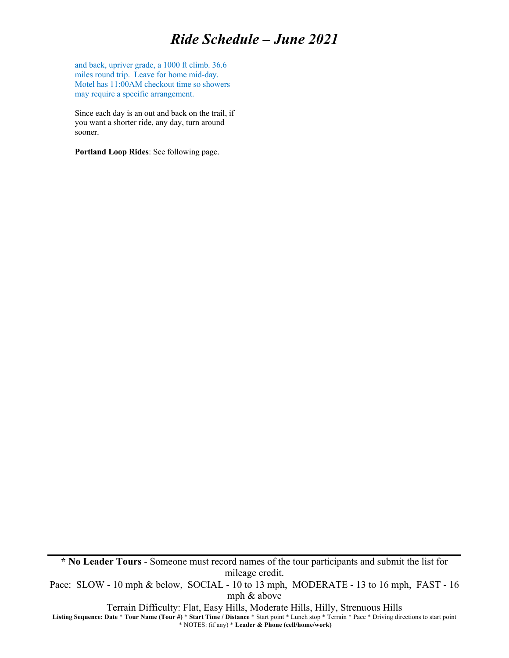and back, upriver grade, a 1000 ft climb. 36.6 miles round trip. Leave for home mid-day. Motel has 11:00AM checkout time so showers may require a specific arrangement.

Since each day is an out and back on the trail, if you want a shorter ride, any day, turn around sooner.

**Portland Loop Rides**: See following page.

**\* No Leader Tours** - Someone must record names of the tour participants and submit the list for mileage credit.

Pace: SLOW - 10 mph & below, SOCIAL - 10 to 13 mph, MODERATE - 13 to 16 mph, FAST - 16 mph & above

Terrain Difficulty: Flat, Easy Hills, Moderate Hills, Hilly, Strenuous Hills